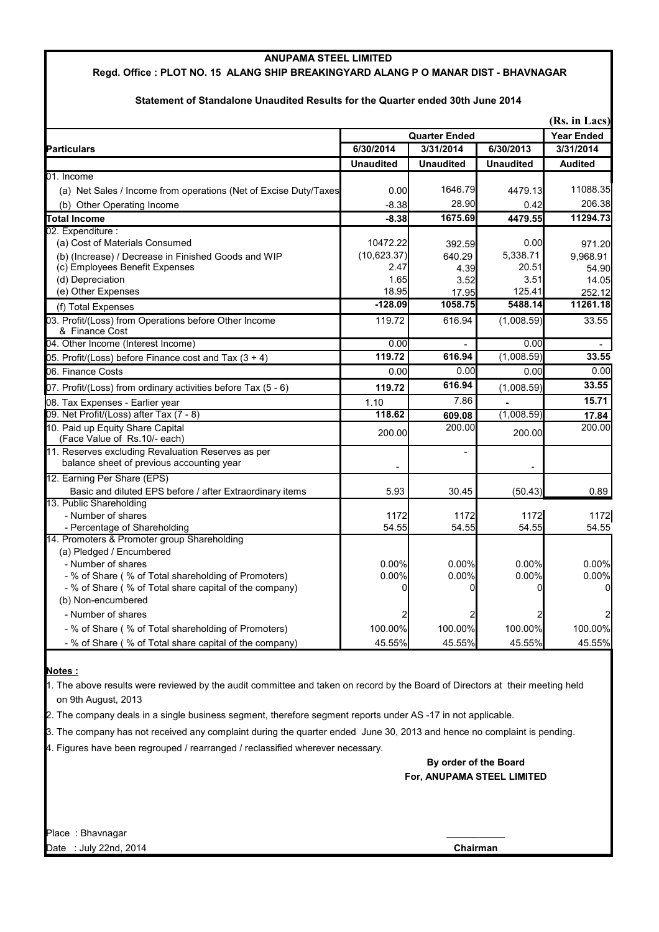### **ANUPAMA STEEL LIMITED**

## **Regd. Office : PLOT NO. 15 ALANG SHIP BREAKINGYARD ALANG P O MANAR DIST - BHAVNAGAR**

### **(Rs. in Lacs) Quarter Ended Year Ended Particulars 6/30/2014 3/31/2014 6/30/2013 3/31/2014 Unaudited Unaudited Unaudited Audited** 01. Income (a) Net Sales / Income from operations (Net of Excise Duty/Taxes 0.00 1646.79 4479.13 11088.35 (b) Other Operating Income  $\begin{array}{ccc} \hline \text{1} & 0.42 & 206.38 \\ \hline \end{array}$  28.90  $\begin{array}{ccc} 0.42 & 206.38 \\ \hline \end{array}$ **Total Income -8.38 1675.69 4479.55 11294.73** 02. Expenditure : (a) Cost of Materials Consumed  $(3)$  Cost of Materials Consumed  $(4)$  Cost of Materials Consumed  $(5)$  (b) (Increase) / Decrease in Finished Goods and WIP (10,623.37) 640.29 5,338.71 9,968.91 (c) Employees Benefit Expenses 20.51 20.51  $\vert$  2.47  $\vert$  4.39 20.51 54.90 (d) Depreciation 1.65 3.52 3.51 14.05 (e) Other Expenses 252.12 18.95 125.41 252.12 (f) Total Expenses **-128.09 1058.75 5488.14 11261.18** 119.72 616.94 (1,008.59) 33.55 04. Other Income (Interest Income) 0.00 - 0.00 - 05. Profit/(Loss) before Finance cost and Tax (3 + 4) **119.72 616.94** (1,008.59) **33.55** 06. Finance Costs 0.00 0.00 0.00 0.00 07. Profit/(Loss) from ordinary activities before Tax (5 - 6) **119.72 616.94** (1,008.59) **33.55**  08. Tax Expenses - Earlier year 1.10 **1.10** 1.10 1.10 1.10 1.10 1.10 1.15.71 09. Net Profit/(Loss) after Tax (7 - 8) **118.62 609.08** (1,008.59) **17.84**  200.00 200.00 200.00 200.00 - - - 12. Earning Per Share (EPS) Basic and diluted EPS before / after Extraordinary items 5.93 30.45 (50.43) 0.89 13. Public Shareholding - Number of shares 1172 1172 1172 1172 - Percentage of Shareholding 54.55 54.55 54.55 54.55 14. Promoters & Promoter group Shareholding (a) Pledged / Encumbered - Number of shares 0.00% 0.00% 0.00% 0.00% - % of Share ( % of Total shareholding of Promoters)  $0.00\%$  0.00% 0.00% 0.00% 0.00% 0.00% - % of Share ( % of Total share capital of the company) 0 0 0 0 (b) Non-encumbered - Number of shares - % of Share ( % of Total shareholding of Promoters)  $\begin{array}{ccc} 1 & 100.00\% & 100.00\% & 100.00\% \end{array}$  100.00% - % of Share ( % of Total share capital of the company) 45.55% 45.55% 45.55% 45.55% 03. Profit/(Loss) from Operations before Other Income & Finance Cost 10. Paid up Equity Share Capital (Face Value of Rs.10/- each) 11. Reserves excluding Revaluation Reserves as per balance sheet of previous accounting year

## **Statement of Standalone Unaudited Results for the Quarter ended 30th June 2014**

### **Notes :**

1. The above results were reviewed by the audit committee and taken on record by the Board of Directors at their meeting held on 9th August, 2013

2. The company deals in a single business segment, therefore segment reports under AS -17 in not applicable.

3. The company has not received any complaint during the quarter ended June 30, 2013 and hence no complaint is pending.

4. Figures have been regrouped / rearranged / reclassified wherever necessary.

# **By order of the Board For, ANUPAMA STEEL LIMITED**

Place : Bhavnagar **\_\_\_\_\_\_\_\_\_\_\_** Date : July 22nd, 2014 **Chairman**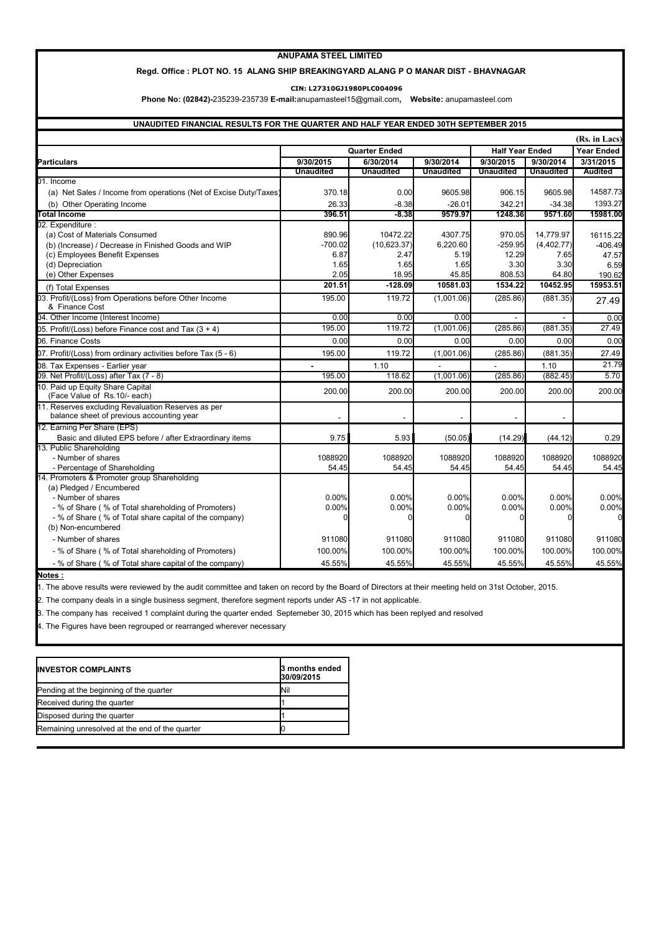#### **ANUPAMA STEEL LIMITED**

#### **Regd. Office : PLOT NO. 15 ALANG SHIP BREAKINGYARD ALANG P O MANAR DIST - BHAVNAGAR**

**CIN: L27310GJ1980PLC004096**

 **Phone No: (02842)-**235239-235739 **E-mail:**anupamasteel15@gmail.com**, Website:** anupamasteel.com

#### **UNAUDITED FINANCIAL RESULTS FOR THE QUARTER AND HALF YEAR ENDED 30TH SEPTEMBER 2015**

|                                                                                                 |                      |                  |                  |                        |                  | (Rs. in Lacs)     |
|-------------------------------------------------------------------------------------------------|----------------------|------------------|------------------|------------------------|------------------|-------------------|
|                                                                                                 | <b>Quarter Ended</b> |                  |                  | <b>Half Year Ended</b> |                  | <b>Year Ended</b> |
| Particulars                                                                                     | 9/30/2015            | 6/30/2014        | 9/30/2014        | 9/30/2015              | 9/30/2014        | 3/31/2015         |
|                                                                                                 | <b>Unaudited</b>     | <b>Unaudited</b> | <b>Unaudited</b> | <b>Unaudited</b>       | <b>Unaudited</b> | <b>Audited</b>    |
| 01. Income                                                                                      |                      |                  |                  |                        |                  |                   |
| (a) Net Sales / Income from operations (Net of Excise Duty/Taxes)                               | 370.18               | 0.00             | 9605.98          | 906.15                 | 9605.98          | 14587.73          |
| (b) Other Operating Income                                                                      | 26.33                | $-8.38$          | $-26.01$         | 342.21                 | $-34.38$         | 1393.27           |
| <b>Total Income</b>                                                                             | 396.51               | $-8.38$          | 9579.97          | 1248.36                | 9571.60          | 15981.00          |
| 02. Expenditure :                                                                               |                      |                  |                  |                        |                  |                   |
| (a) Cost of Materials Consumed                                                                  | 890.96               | 10472.22         | 4307.75          | 970.05                 | 14.779.97        | 16115.22          |
| (b) (Increase) / Decrease in Finished Goods and WIP                                             | $-700.02$            | (10,623.37)      | 6,220.60         | $-259.95$              | (4,402.77)       | $-406.49$         |
| (c) Employees Benefit Expenses                                                                  | 6.87                 | 2.47             | 5.19             | 12.29                  | 7.65             | 47.57             |
| (d) Depreciation                                                                                | 1.65                 | 1.65             | 1.65             | 3.30                   | 3.30             | 6.59              |
| (e) Other Expenses                                                                              | 2.05                 | 18.95            | 45.85            | 808.53                 | 64.80            | 190.62            |
| (f) Total Expenses                                                                              | 201.51               | $-128.09$        | 10581.03         | 1534.22                | 10452.95         | 15953.51          |
| 03. Profit/(Loss) from Operations before Other Income<br>& Finance Cost                         | 195.00               | 119.72           | (1.001.06)       | (285.86)               | (881.35)         | 27.49             |
| 04. Other Income (Interest Income)                                                              | 0.00                 | 0.00             | 0.00             |                        |                  | 0.00              |
| 05. Profit/(Loss) before Finance cost and Tax (3 + 4)                                           | 195.00               | 119.72           | (1,001.06)       | (285.86)               | (881.35)         | 27.49             |
| 06. Finance Costs                                                                               | 0.00                 | 0.00             | 0.00             | 0.00                   | 0.00             | 0.00              |
| 07. Profit/(Loss) from ordinary activities before Tax (5 - 6)                                   | 195.00               | 119.72           | (1,001.06)       | (285.86)               | (881.35)         | 27.49             |
| 08. Tax Expenses - Earlier year                                                                 |                      | 1.10             |                  |                        | 1.10             | 21.79             |
| 09. Net Profit/(Loss) after Tax (7 - 8)                                                         | 195.00               | 118.62           | (1,001.06)       | (285.86)               | (882.45)         | 5.70              |
| 10. Paid up Equity Share Capital<br>(Face Value of Rs.10/- each)                                | 200.00               | 200.00           | 200.00           | 200.00                 | 200.00           | 200.00            |
| 11. Reserves excluding Revaluation Reserves as per<br>balance sheet of previous accounting year |                      |                  |                  |                        |                  |                   |
| 12. Earning Per Share (EPS)                                                                     |                      |                  |                  |                        |                  |                   |
| Basic and diluted EPS before / after Extraordinary items                                        | 9.75                 | 5.93             | (50.05)          | (14.29)                | (44.12)          | 0.29              |
| 13. Public Shareholding                                                                         |                      |                  |                  |                        |                  |                   |
| - Number of shares                                                                              | 1088920              | 1088920          | 1088920          | 1088920                | 1088920          | 1088920           |
| - Percentage of Shareholding                                                                    | 54.45                | 54.45            | 54.45            | 54.45                  | 54.45            | 54.45             |
| 14. Promoters & Promoter group Shareholding                                                     |                      |                  |                  |                        |                  |                   |
| (a) Pledged / Encumbered                                                                        |                      |                  |                  |                        |                  |                   |
| - Number of shares                                                                              | 0.00%                | 0.00%            | 0.00%            | 0.00%                  | 0.00%            | 0.00%             |
| - % of Share (% of Total shareholding of Promoters)                                             | 0.00%                | 0.00%            | 0.00%            | 0.00%                  | 0.00%            | 0.00%             |
| - % of Share (% of Total share capital of the company)                                          |                      | n                |                  |                        |                  |                   |
| (b) Non-encumbered                                                                              |                      |                  |                  |                        |                  |                   |
| - Number of shares                                                                              | 911080               | 911080           | 911080           | 911080                 | 911080           | 911080            |
| - % of Share (% of Total shareholding of Promoters)                                             | 100.00%              | 100.00%          | 100.00%          | 100.00%                | 100.00%          | 100.00%           |
| - % of Share (% of Total share capital of the company)                                          | 45.55%               | 45.55%           | 45.55%           | 45.55%                 | 45.55%           | 45.55%            |

**Notes :**

1. The above results were reviewed by the audit committee and taken on record by the Board of Directors at their meeting held on 31st October, 2015.

2. The company deals in a single business segment, therefore segment reports under AS -17 in not applicable.

3. The company has received 1 complaint during the quarter ended Septemeber 30, 2015 which has been replyed and resolved

4. The Figures have been regrouped or rearranged wherever necessary

| <b>IINVESTOR COMPLAINTS</b>                    | <b>3</b> months ended<br>30/09/2015 |
|------------------------------------------------|-------------------------------------|
| Pending at the beginning of the quarter        | INil                                |
| Received during the quarter                    |                                     |
| Disposed during the quarter                    |                                     |
| Remaining unresolved at the end of the quarter |                                     |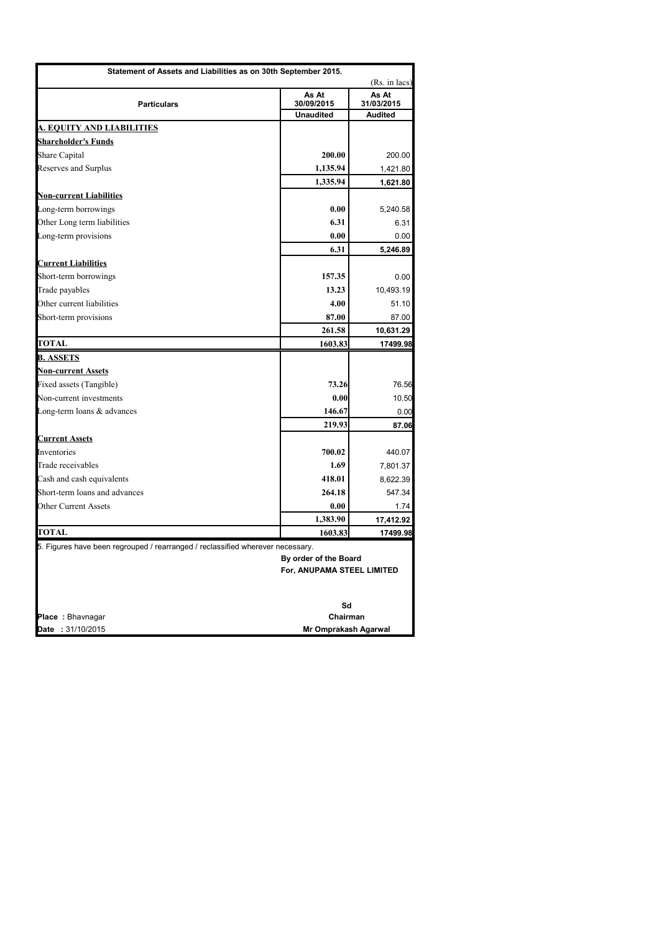| Statement of Assets and Liabilities as on 30th September 2015.                 |                             |                     |
|--------------------------------------------------------------------------------|-----------------------------|---------------------|
|                                                                                |                             | (Rs. in lacs)       |
| <b>Particulars</b>                                                             | As At<br>30/09/2015         | As At<br>31/03/2015 |
|                                                                                | <b>Unaudited</b>            | <b>Audited</b>      |
| <b>A. EQUITY AND LIABILITIES</b>                                               |                             |                     |
| <b>Shareholder's Funds</b>                                                     |                             |                     |
| <b>Share Capital</b>                                                           | 200.00                      | 200.00              |
| <b>Reserves and Surplus</b>                                                    | 1,135.94                    | 1,421.80            |
|                                                                                | 1,335.94                    | 1,621.80            |
| <b>Non-current Liabilities</b>                                                 |                             |                     |
| Long-term borrowings                                                           | 0.00                        | 5,240.58            |
| Other Long term liabilities                                                    | 6.31                        | 6.31                |
| Long-term provisions                                                           | 0.00                        | 0.00                |
|                                                                                | 6.31                        | 5,246.89            |
| <b>Current Liabilities</b>                                                     |                             |                     |
| Short-term borrowings                                                          | 157.35                      | 0.00                |
| Trade payables                                                                 | 13.23                       | 10,493.19           |
| Other current liabilities                                                      | 4.00                        | 51.10               |
| Short-term provisions                                                          | 87.00                       | 87.00               |
|                                                                                | 261.58                      | 10,631.29           |
| TOTAL                                                                          | 1603.83                     | 17499.98            |
| <b>B. ASSETS</b>                                                               |                             |                     |
| <b>Non-current Assets</b>                                                      |                             |                     |
| Fixed assets (Tangible)                                                        | 73.26                       | 76.56               |
| Non-current investments                                                        | 0.00                        | 10.50               |
| Long-term loans $\&$ advances                                                  | 146.67                      | 0.00                |
|                                                                                | 219.93                      | 87.06               |
| <b>Current Assets</b>                                                          |                             |                     |
| Inventories                                                                    | 700.02                      | 440.07              |
| Trade receivables                                                              | 1.69                        | 7,801.37            |
| Cash and cash equivalents                                                      | 418.01                      | 8,622.39            |
| Short-term loans and advances                                                  | 264.18                      | 547.34              |
| Other Current Assets                                                           | 0.00                        | 1.74                |
|                                                                                | 1,383.90                    | 17,412.92           |
| <b>TOTAL</b>                                                                   | 1603.83                     | 17499.98            |
| 5. Figures have been regrouped / rearranged / reclassified wherever necessary. | By order of the Board       |                     |
|                                                                                | For, ANUPAMA STEEL LIMITED  |                     |
|                                                                                |                             |                     |
|                                                                                | Sd                          |                     |
| Place: Bhavnagar                                                               | Chairman                    |                     |
| Date: 31/10/2015                                                               | <b>Mr Omprakash Agarwal</b> |                     |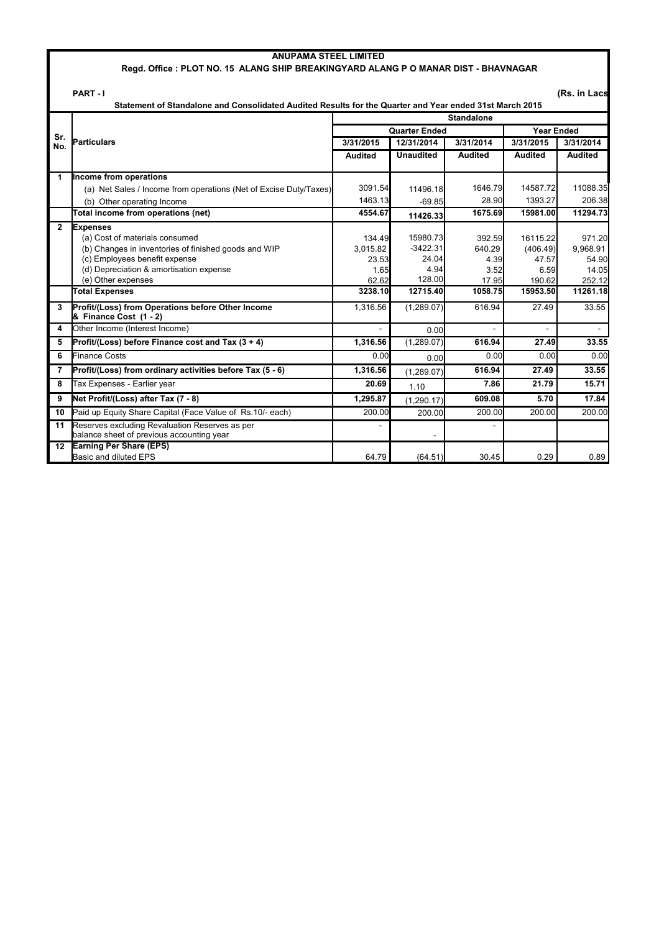|                | <b>ANUPAMA STEEL LIMITED</b>                                                                                                                                                                                |                                              |                                                   |                                           |                                                 |                                                |
|----------------|-------------------------------------------------------------------------------------------------------------------------------------------------------------------------------------------------------------|----------------------------------------------|---------------------------------------------------|-------------------------------------------|-------------------------------------------------|------------------------------------------------|
|                | Regd. Office: PLOT NO. 15 ALANG SHIP BREAKINGYARD ALANG P O MANAR DIST - BHAVNAGAR                                                                                                                          |                                              |                                                   |                                           |                                                 |                                                |
|                | PART-I<br>Statement of Standalone and Consolidated Audited Results for the Quarter and Year ended 31st March 2015                                                                                           |                                              |                                                   |                                           |                                                 | (Rs. in Lacs                                   |
|                |                                                                                                                                                                                                             |                                              |                                                   | <b>Standalone</b>                         |                                                 |                                                |
| Sr.            |                                                                                                                                                                                                             |                                              | <b>Quarter Ended</b>                              |                                           | <b>Year Ended</b>                               |                                                |
| No.            | Particulars                                                                                                                                                                                                 | 3/31/2015                                    | 12/31/2014                                        | 3/31/2014                                 | 3/31/2015                                       | 3/31/2014                                      |
|                |                                                                                                                                                                                                             | Audited                                      | <b>Unaudited</b>                                  | <b>Audited</b>                            | <b>Audited</b>                                  | <b>Audited</b>                                 |
| 1              | Income from operations                                                                                                                                                                                      |                                              |                                                   |                                           |                                                 |                                                |
|                | (a) Net Sales / Income from operations (Net of Excise Duty/Taxes)                                                                                                                                           | 3091.54                                      | 11496.18                                          | 1646.79                                   | 14587.72                                        | 11088.35                                       |
|                | (b) Other operating Income                                                                                                                                                                                  | 1463.13                                      | $-69.85$                                          | 28.90                                     | 1393.27                                         | 206.38                                         |
|                | Total income from operations (net)                                                                                                                                                                          | 4554.67                                      | 11426.33                                          | 1675.69                                   | 15981.00                                        | 11294.73                                       |
| $2^{\circ}$    | <b>Expenses</b><br>(a) Cost of materials consumed<br>(b) Changes in inventories of finished goods and WIP<br>(c) Employees benefit expense<br>(d) Depreciation & amortisation expense<br>(e) Other expenses | 134.49<br>3.015.82<br>23.53<br>1.65<br>62.62 | 15980.73<br>$-3422.31$<br>24.04<br>4.94<br>128.00 | 392.59<br>640.29<br>4.39<br>3.52<br>17.95 | 16115.22<br>(406.49)<br>47.57<br>6.59<br>190.62 | 971.20<br>9,968.91<br>54.90<br>14.05<br>252.12 |
|                | <b>Total Expenses</b>                                                                                                                                                                                       | 3238.10                                      | 12715.40                                          | 1058.75                                   | 15953.50                                        | 11261.18                                       |
| 3              | Profit/(Loss) from Operations before Other Income<br>& Finance Cost (1 - 2)                                                                                                                                 | 1,316.56                                     | (1,289.07)                                        | 616.94                                    | 27.49                                           | 33.55                                          |
| 4              | Other Income (Interest Income)                                                                                                                                                                              |                                              | 0.00                                              |                                           | $\overline{\phantom{a}}$                        |                                                |
| 5              | Profit/(Loss) before Finance cost and Tax $(3 + 4)$                                                                                                                                                         | 1,316.56                                     | (1,289.07)                                        | 616.94                                    | 27.49                                           | 33.55                                          |
| 6              | <b>Finance Costs</b>                                                                                                                                                                                        | 0.00                                         | 0.00                                              | 0.00                                      | 0.00                                            | 0.00                                           |
| $\overline{7}$ | Profit/(Loss) from ordinary activities before Tax (5 - 6)                                                                                                                                                   | 1.316.56                                     | (1.289.07)                                        | 616.94                                    | 27.49                                           | 33.55                                          |
| 8              | Tax Expenses - Earlier year                                                                                                                                                                                 | 20.69                                        | 1.10                                              | 7.86                                      | 21.79                                           | 15.71                                          |
| 9              | Net Profit/(Loss) after Tax (7 - 8)                                                                                                                                                                         | 1,295.87                                     | (1, 290.17)                                       | 609.08                                    | 5.70                                            | 17.84                                          |
| 10             | Paid up Equity Share Capital (Face Value of Rs.10/- each)                                                                                                                                                   | 200.00                                       | 200.00                                            | 200.00                                    | 200.00                                          | 200.00                                         |
| 11             | Reserves excluding Revaluation Reserves as per<br>balance sheet of previous accounting year                                                                                                                 | $\overline{a}$                               |                                                   |                                           |                                                 |                                                |
| 12             | <b>Earning Per Share (EPS)</b><br>Basic and diluted EPS                                                                                                                                                     | 64.79                                        | (64.51)                                           | 30.45                                     | 0.29                                            | 0.89                                           |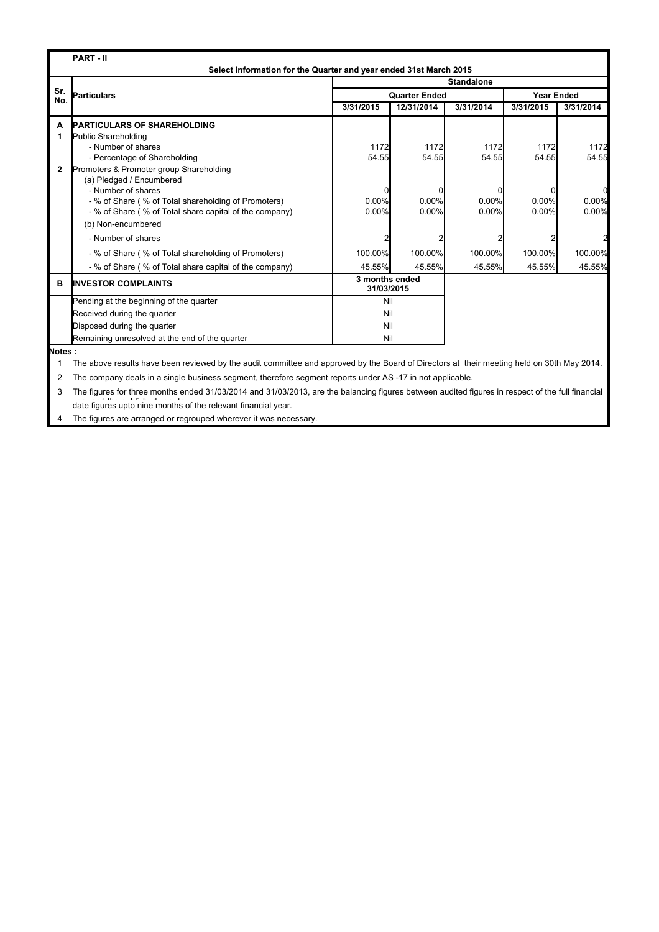|            | <b>PART-II</b><br>Select information for the Quarter and year ended 31st March 2015 |                              |                      |                   |                   |                |
|------------|-------------------------------------------------------------------------------------|------------------------------|----------------------|-------------------|-------------------|----------------|
|            |                                                                                     |                              |                      | <b>Standalone</b> |                   |                |
| Sr.<br>No. | <b>Particulars</b>                                                                  |                              | <b>Quarter Ended</b> |                   | <b>Year Ended</b> |                |
|            |                                                                                     | 3/31/2015                    | 12/31/2014           | 3/31/2014         | 3/31/2015         | 3/31/2014      |
| A          | <b>PARTICULARS OF SHAREHOLDING</b>                                                  |                              |                      |                   |                   |                |
| 1          | Public Shareholding                                                                 |                              |                      |                   |                   |                |
|            | - Number of shares                                                                  | 1172                         | 1172                 | 1172              | 1172              | 1172           |
|            | - Percentage of Shareholding                                                        | 54.55                        | 54.55                | 54.55             | 54.55             | 54.55          |
| 2          | Promoters & Promoter group Shareholding                                             |                              |                      |                   |                   |                |
|            | (a) Pledged / Encumbered                                                            |                              |                      |                   |                   |                |
|            | - Number of shares                                                                  |                              |                      |                   |                   | 0              |
|            | - % of Share (% of Total shareholding of Promoters)                                 | 0.00%<br>0.00%               | 0.00%<br>0.00%       | 0.00%<br>$0.00\%$ | 0.00%<br>0.00%    | 0.00%<br>0.00% |
|            | - % of Share (% of Total share capital of the company)                              |                              |                      |                   |                   |                |
|            | (b) Non-encumbered                                                                  |                              |                      |                   |                   |                |
|            | - Number of shares                                                                  |                              |                      |                   |                   |                |
|            | - % of Share (% of Total shareholding of Promoters)                                 | 100.00%                      | 100.00%              | 100.00%           | 100.00%           | 100.00%        |
|            | - % of Share (% of Total share capital of the company)                              | 45.55%                       | 45.55%               | 45.55%            | 45.55%            | 45.55%         |
| в          | <b>IINVESTOR COMPLAINTS</b>                                                         | 3 months ended<br>31/03/2015 |                      |                   |                   |                |
|            | Pending at the beginning of the quarter                                             | Nil                          |                      |                   |                   |                |
|            | Received during the quarter                                                         | Nil                          |                      |                   |                   |                |
|            | Disposed during the quarter                                                         | Nil                          |                      |                   |                   |                |
|            | Remaining unresolved at the end of the quarter                                      | Nil                          |                      |                   |                   |                |

**Notes :**

1 The above results have been reviewed by the audit committee and approved by the Board of Directors at their meeting held on 30th May 2014.

2 The company deals in a single business segment, therefore segment reports under AS -17 in not applicable.

3 The figures for three months ended 31/03/2014 and 31/03/2013, are the balancing figures between audited figures in respect of the full financial we can the published weart.

4 The figures are arranged or regrouped wherever it was necessary.